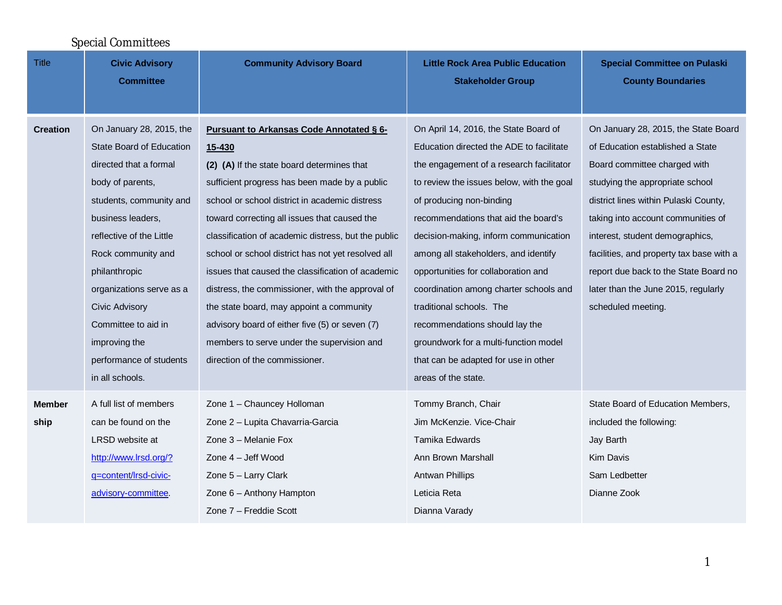| <b>Special Committees</b> |                                                                                                                                                                                                                                                                                                                                                                         |                                                                                                                                                                                                                                                                                                                                                                                                                                                                                                                                                                                                                                                                |                                                                                                                                                                                                                                                                                                                                                                                                                                                                                                                                                                                        |                                                                                                                                                                                                                                                                                                                                                                                                                 |  |  |  |
|---------------------------|-------------------------------------------------------------------------------------------------------------------------------------------------------------------------------------------------------------------------------------------------------------------------------------------------------------------------------------------------------------------------|----------------------------------------------------------------------------------------------------------------------------------------------------------------------------------------------------------------------------------------------------------------------------------------------------------------------------------------------------------------------------------------------------------------------------------------------------------------------------------------------------------------------------------------------------------------------------------------------------------------------------------------------------------------|----------------------------------------------------------------------------------------------------------------------------------------------------------------------------------------------------------------------------------------------------------------------------------------------------------------------------------------------------------------------------------------------------------------------------------------------------------------------------------------------------------------------------------------------------------------------------------------|-----------------------------------------------------------------------------------------------------------------------------------------------------------------------------------------------------------------------------------------------------------------------------------------------------------------------------------------------------------------------------------------------------------------|--|--|--|
| <b>Title</b>              | <b>Civic Advisory</b><br><b>Committee</b>                                                                                                                                                                                                                                                                                                                               | <b>Community Advisory Board</b>                                                                                                                                                                                                                                                                                                                                                                                                                                                                                                                                                                                                                                | <b>Little Rock Area Public Education</b><br><b>Stakeholder Group</b>                                                                                                                                                                                                                                                                                                                                                                                                                                                                                                                   | <b>Special Committee on Pulaski</b><br><b>County Boundaries</b>                                                                                                                                                                                                                                                                                                                                                 |  |  |  |
| <b>Creation</b>           | On January 28, 2015, the<br><b>State Board of Education</b><br>directed that a formal<br>body of parents,<br>students, community and<br>business leaders,<br>reflective of the Little<br>Rock community and<br>philanthropic<br>organizations serve as a<br><b>Civic Advisory</b><br>Committee to aid in<br>improving the<br>performance of students<br>in all schools. | <b>Pursuant to Arkansas Code Annotated § 6-</b><br>15-430<br>(2) (A) If the state board determines that<br>sufficient progress has been made by a public<br>school or school district in academic distress<br>toward correcting all issues that caused the<br>classification of academic distress, but the public<br>school or school district has not yet resolved all<br>issues that caused the classification of academic<br>distress, the commissioner, with the approval of<br>the state board, may appoint a community<br>advisory board of either five (5) or seven (7)<br>members to serve under the supervision and<br>direction of the commissioner. | On April 14, 2016, the State Board of<br>Education directed the ADE to facilitate<br>the engagement of a research facilitator<br>to review the issues below, with the goal<br>of producing non-binding<br>recommendations that aid the board's<br>decision-making, inform communication<br>among all stakeholders, and identify<br>opportunities for collaboration and<br>coordination among charter schools and<br>traditional schools. The<br>recommendations should lay the<br>groundwork for a multi-function model<br>that can be adapted for use in other<br>areas of the state. | On January 28, 2015, the State Board<br>of Education established a State<br>Board committee charged with<br>studying the appropriate school<br>district lines within Pulaski County,<br>taking into account communities of<br>interest, student demographics,<br>facilities, and property tax base with a<br>report due back to the State Board no<br>later than the June 2015, regularly<br>scheduled meeting. |  |  |  |
| <b>Member</b><br>ship     | A full list of members<br>can be found on the<br>LRSD website at<br>http://www.lrsd.org/?<br>g=content/Irsd-civic-<br>advisory-committee.                                                                                                                                                                                                                               | Zone 1 - Chauncey Holloman<br>Zone 2 - Lupita Chavarria-Garcia<br>Zone 3 - Melanie Fox<br>Zone 4 - Jeff Wood<br>Zone 5 - Larry Clark<br>Zone 6 - Anthony Hampton<br>Zone 7 - Freddie Scott                                                                                                                                                                                                                                                                                                                                                                                                                                                                     | Tommy Branch, Chair<br>Jim McKenzie, Vice-Chair<br>Tamika Edwards<br>Ann Brown Marshall<br><b>Antwan Phillips</b><br>Leticia Reta<br>Dianna Varady                                                                                                                                                                                                                                                                                                                                                                                                                                     | State Board of Education Members,<br>included the following:<br>Jay Barth<br>Kim Davis<br>Sam Ledbetter<br>Dianne Zook                                                                                                                                                                                                                                                                                          |  |  |  |